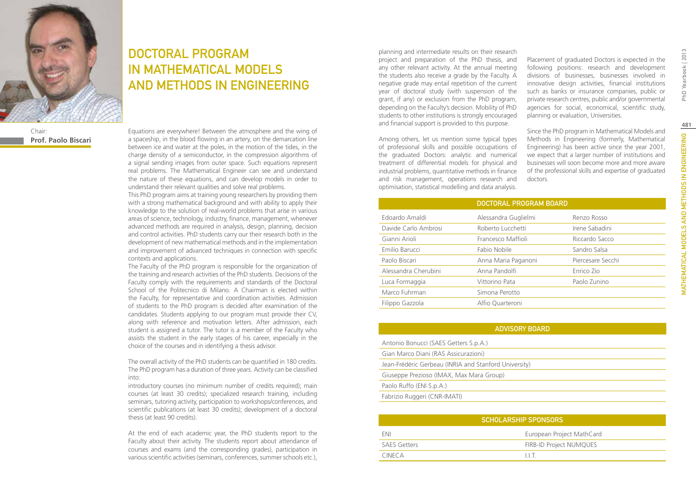

# Chair:

**Prof. Paolo Biscari**

## DOCTORAL PROGRAM IN Mathematical Models and Methods in Engineering

Equations are everywhere! Between the atmosphere and the wing of a spaceship, in the blood flowing in an artery, on the demarcation line between ice and water at the poles, in the motion of the tides, in the charge density of a semiconductor, in the compression algorithms of a signal sending images from outer space. Such equations represent real problems. The Mathematical Engineer can see and understand the nature of these equations, and can develop models in order to understand their relevant qualities and solve real problems.

This PhD program aims at training young researchers by providing them with a strong mathematical background and with ability to apply their knowledge to the solution of real-world problems that arise in various areas of science, technology, industry, finance, management, whenever advanced methods are required in analysis, design, planning, decision and control activities. PhD students carry our their research both in the development of new mathematical methods and in the implementation and improvement of advanced techniques in connection with specific contexts and applications.

The Faculty of the PhD program is responsible for the organization of the training and research activities of the PhD students. Decisions of the Faculty comply with the requirements and standards of the Doctoral School of the Politecnico di Milano. A Chairman is elected within the Faculty, for representative and coordination activities. Admission of students to the PhD program is decided after examination of the candidates. Students applying to our program must provide their CV, along with reference and motivation letters. After admission, each student is assigned a tutor. The tutor is a member of the Faculty who assists the student in the early stages of his career, especially in the choice of the courses and in identifying a thesis advisor.

The overall activity of the PhD students can be quantified in 180 credits. The PhD program has a duration of three years. Activity can be classified into:

introductory courses (no minimum number of credits required); main courses (at least 30 credits); specialized research training, including seminars, tutoring activity, participation to workshops/conferences, and scientific publications (at least 30 credits); development of a doctoral thesis (at least 90 credits).

At the end of each academic year, the PhD students report to the Faculty about their activity. The students report about attendance of courses and exams (and the corresponding grades), participation in various scientific activities (seminars, conferences, summer schools etc.), planning and intermediate results on their research project and preparation of the PhD thesis, and any other relevant activity. At the annual meeting the students also receive a grade by the Faculty. A negative grade may entail repetition of the current year of doctoral study (with suspension of the grant, if any) or exclusion from the PhD program, depending on the Faculty's decision. Mobility of PhD students to other institutions is strongly encouraged and financial support is provided to this purpose.

Among others, let us mention some typical types of professional skills and possible occupations of the graduated Doctors: analytic and numerical treatment of differential models for physical and industrial problems, quantitative methods in finance and risk management, operations research and optimisation, statistical modelling and data analysis.

Placement of graduated Doctors is expected in the following positions: research and development divisions of businesses, businesses involved in innovative design activities, financial institutions such as banks or insurance companies, public or private research centres, public and/or governmental agencies for social, economical, scientific study, planning or evaluation, Universities.

Since the PhD program in Mathematical Models and Methods in Engineering (formerly, Mathematical Engineering) has been active since the year 2001, we expect that a larger number of institutions and businesses will soon become more and more aware of the professional skills and expertise of graduated doctors.

| DOCTORAL PROGRAM BOARD |                      |                   |
|------------------------|----------------------|-------------------|
| Edoardo Amaldi         | Alessandra Guglielmi | Renzo Rosso       |
| Davide Carlo Ambrosi   | Roberto Lucchetti    | Irene Sabadini    |
| Gianni Arioli          | Francesco Maffioli   | Riccardo Sacco    |
| Emilio Barucci         | Fabio Nobile         | Sandro Salsa      |
| Paolo Biscari          | Anna Maria Paganoni  | Piercesare Secchi |
| Alessandra Cherubini   | Anna Pandolfi        | Enrico Zio        |
| Luca Formaggia         | Vittorino Pata       | Paolo Zunino      |
| Marco Fuhrman          | Simona Perotto       |                   |
| Filippo Gazzola        | Alfio Quarteroni     |                   |

### ADVISORY BOARD

| Antonio Bonucci (SAES Getters S.p.A.)                 |  |  |
|-------------------------------------------------------|--|--|
| Gian Marco Diani (RAS Assicurazioni)                  |  |  |
| Jean-Frédéric Gerbeau (INRIA and Stanford University) |  |  |
| Giuseppe Prezioso (IMAX, Max Mara Group)              |  |  |
| Paolo Ruffo (ENI S.p.A.)                              |  |  |
| Fabrizio Ruggeri (CNR-IMATI)                          |  |  |

| <b>SCHOLARSHIP SPONSORS</b> |                                |  |
|-----------------------------|--------------------------------|--|
| ENI                         | European Project MathCard      |  |
| <b>SAES Getters</b>         | <b>FIRB-ID Project NUMQUES</b> |  |
| CINFCA.                     | H.T                            |  |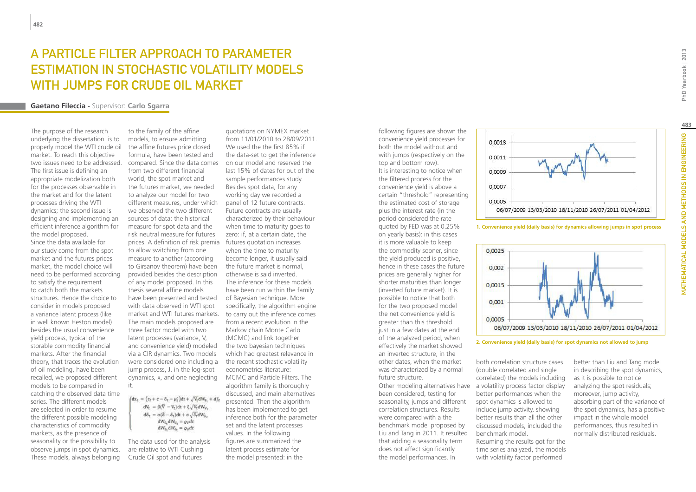## A PARTICLE FILTER APPROACH TO PARAMETER Estimation in Stochastic Volatility models with Jumps for Crude Oil Market

### **Gaetano Fileccia -** Supervisor: **Carlo Sgarra**

The purpose of the research underlying the dissertation is to properly model the WTI crude oil market. To reach this objective two issues need to be addressed. The first issue is defining an appropriate modelization both for the processes observable in the market and for the latent processes driving the WTI dynamics; the second issue is designing and implementing an efficient inference algorithm for the model proposed. Since the data available for our study come from the spot market and the futures prices market, the model choice will need to be performed according to satisfy the requirement to catch both the markets structures. Hence the choice to consider in models proposed a variance latent process (like in well known Heston model) besides the usual convenience yield process, typical of the storable commodity financial markets. After the financial theory, that traces the evolution of oil modeling, have been recalled, we proposed different models to be compared in catching the observed data time series. The different models are selected in order to resume the different possible modeling characteristics of commodity markets, as the presence of seasonality or the possibility to observe jumps in spot dynamics. These models, always belonging

to the family of the affine models, to ensure admitting the affine futures price closed formula, have been tested and compared. Since the data comes from two different financial world, the spot market and the futures market, we needed to analyze our model for two different measures, under which we observed the two different sources of data: the historical measure for spot data and the risk neutral measure for futures prices. A definition of risk premia futures quotation increases to allow switching from one measure to another (according to Girsanov theorem) have been provided besides the description of any model proposed. In this thesis several affine models have been presented and tested of Bayesian technique. More with data observed in WTI spot market and WTI futures markets. The main models proposed are three factor model with two latent processes (variance, V, and convenience yield) modeled the two bayesian techniques via a CIR dynamics. Two models were considered one including a jump process, J, in the log-spot dynamics, x, and one neglecting MCMC and Particle Filters. The it.

 $\int dx_t = (r_f + c - \delta_t - \mu_f^*) dt + \sqrt{V_t} dW_{S_t} + df_t$  $dV_t = \beta(\overline{V} - V_t)dt + \xi \sqrt{V_t}dW_{V_t}$  $d\delta_t = \alpha(\delta - \delta_t)dt + \sigma \sqrt{\delta_t}dW_{\delta},$  $dW_c$   $dW_V = q_V dt$  $dW_{S_1}dW_{S_2} = \rho_S dt$ 

The data used for the analysis are relative to WTI Cushing Crude Oil spot and futures

quotations on NYMEX market from 11/01/2010 to 28/09/2011. We used the the first 85% if the data-set to get the inference on our model and reserved the last 15% of dates for out of the sample performances study. Besides spot data, for any working day we recorded a panel of 12 future contracts. Future contracts are usually characterized by their behaviour when time to maturity goes to zero: if, at a certain date, the when the time to maturity become longer, it usually said the future market is normal, otherwise is said inverted. The inference for these models have been run within the family specifically, the algorithm engine to carry out the inference comes from a recent evolution in the Markov chain Monte Carlo (MCMC) and link together which had greatest relevance in the recent stochastic volatility econometrics literature: algorithm family is thoroughly discussed, and main alternatives presented. Then the algorithm has been implemented to get inference both for the parameter set and the latent processes values. In the following figures are summarized the latent process estimate for the model presented: in the

following figures are shown the convenience yield processes for both the model without and with jumps (respectively on the top and bottom row). It is interesting to notice when the filtered process for the convenience yield is above a certain "threshold" representing the estimated cost of storage plus the interest rate (in the period considered the rate quoted by FED was at 0.25% on yearly basis): in this cases it is more valuable to keep the commodity sooner, since the yield produced is positive, hence in these cases the future prices are generally higher for shorter maturities than longer (inverted future market). It is possible to notice that both for the two proposed model the net convenience yield is greater than this threshold just in a few dates at the end of the analyzed period, when effectively the market showed an inverted structure, in the other dates, when the market was characterized by a normal future structure.

been considered, testing for seasonality, jumps and different correlation structures. Results were compared with a the benchmark model proposed by Liu and Tang in 2011. It resulted that adding a seasonality term does not affect significantly the model performances. In



both correlation structure cases

0.0013 0.0011  $0.0009$ 0.0007 0.0005 06/07/2009 13/03/2010 18/11/2010 26/07/2011 01/04/2012

**1. Convenience yield (daily basis) for dynamics allowing jumps in spot process**



**2. Convenience yield (daily basis) for spot dynamics not allowed to jump**

better than Liu and Tang model in describing the spot dynamics, as it is possible to notice analyzing the spot residuals; moreover, jump activity, absorbing part of the variance of the spot dynamics, has a positive impact in the whole model performances, thus resulted in normally distributed residuals.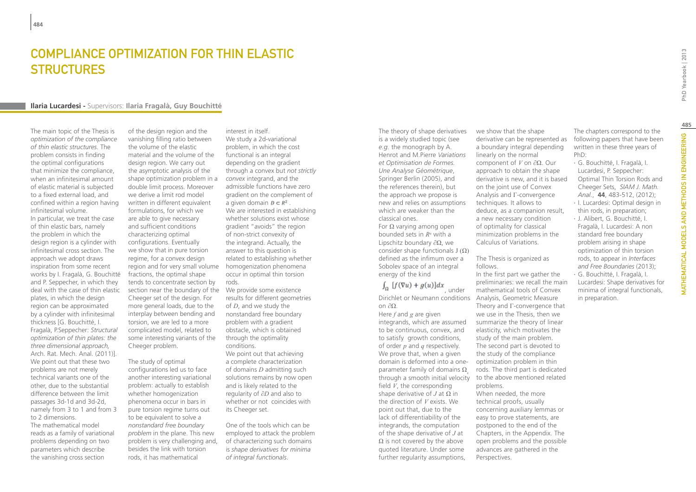## COMPI IANCE OPTIMIZATION FOR THIN FI ASTIC **STRUCTURES**

### **Ilaria Lucardesi -** Supervisors: **Ilaria Fragalà, Guy Bouchitté**

The main topic of the Thesis is *optimization of the compliance of thin elastic structures*. The problem consists in finding the optimal configurations that minimize the compliance, when an infinitesimal amount of elastic material is subjected to a fixed external load, and confined within a region having infinitesimal volume. In particular, we treat the case of thin elastic bars, namely the problem in which the design region is a cylinder with infinitesimal cross section. The approach we adopt draws inspiration from some recent works by I. Fragalà, G. Bouchitté and P. Seppecher, in which they deal with the case of thin elastic plates, in which the design region can be approximated by a cylinder with infinitesimal thickness [G. Bouchitté, I. Fragalà, P.Seppecher: *Structural optimization of thin plates: the three dimensional approach,*  Arch. Rat. Mech. Anal. (2011)]. We point out that these two problems are not merely technical variants one of the other, due to the substantial difference between the limit passages 3d-1d and 3d-2d, namely from 3 to 1 and from 3 to 2 dimensions. The mathematical model reads as a family of variational problems depending on two parameters which describe the vanishing cross section

of the design region and the vanishing filling ratio between the volume of the elastic material and the volume of the design region. We carry out the asymptotic analysis of the shape optimization problem in a double limit process. Moreover we derive a limit rod model written in different equivalent formulations, for which we are able to give necessary and sufficient conditions characterizing optimal configurations. Eventually we show that in pure torsion regime, for a convex design region and for very small volume homogenization phenomena fractions, the optimal shape tends to concentrate section by section near the boundary of the We provide some existence Cheeger set of the design. For more general loads, due to the interplay between bending and torsion, we are led to a more complicated model, related to some interesting variants of the Cheeger problem.

The study of optimal configurations led us to face another interesting variational problem: actually to establish whether homogenization phenomena occur in bars in pure torsion regime turns out to be equivalent to solve a *nonstandard free boundary problem* in the plane. This new problem is very challenging and, besides the link with torsion rods, it has mathematical

interest in itself. We study a 2d-variational problem, in which the cost functional is an integral depending on the gradient through a convex but *not strictly convex* integrand, and the admissible functions have zero gradient on the complement of a given domain  $D \subset R^2$ . We are interested in establishing whether solutions exist whose gradient "avoids" the region of non-strict convexity of the integrand. Actually, the answer to this question is related to establishing whether occur in optimal thin torsion rods.

results for different geometries of *D*, and we study the nonstandard free boundary problem with a gradient obstacle, which is obtained through the optimality conditions.

We point out that achieving a complete characterization of domains *D* admitting such solutions remains by now open and is likely related to the regularity of *∂D* and also to whether or not coincides with its Cheeger set.

One of the tools which can be employed to attack the problem of characterizing such domains is *shape derivatives for minima of integral functionals*.

The theory of shape derivatives is a widely studied topic (see *e.g.* the monograph by A. Henrot and M.Pierre *Variations et Optimisation de Formes. Une Analyse Géométrique*, Springer Berlin (2005), and the references therein), but the approach we propose is new and relies on assumptions which are weaker than the classical ones. For Ω varying among open

bounded sets in *Rn* with a Lipschitz boundary ∂Ω, we consider shape functionals  $J(Ω)$ defined as the infimum over a Sobolev space of an integral energy of the kind

## $\int_{\Omega} [f(\nabla u) + g(u)]dx$ , under

Dirichlet or Neumann conditions Analysis, Geometric Measure on ∂Ω. Here *f* and *g* are given integrands, which are assumed to be continuous, convex, and to satisfy growth conditions, of order *p* and *q* respectively. We prove that, when a given domain is deformed into a oneparameter family of domains  $\Omega$ field *V*, the corresponding shape derivative of  $J$  at  $\Omega$  in the direction of *V* exists. We point out that, due to the lack of differentiability of the integrands, the computation of the shape derivative of *J* at  $\Omega$  is not covered by the above quoted literature. Under some further regularity assumptions,

we show that the shape derivative can be represented as a boundary integral depending linearly on the normal component of *V* on ∂Ω. Our approach to obtain the shape derivative is new, and it is based on the joint use of Convex Analysis and Γ-convergence techniques. It allows to deduce, as a companion result, a new necessary condition of optimality for classical minimization problems in the Calculus of Variations.

The Thesis is organized as follows.

In the first part we gather the preliminaries: we recall the main mathematical tools of Convex Theory and Γ-convergence that we use in the Thesis, then we summarize the theory of linear elasticity, which motivates the study of the main problem. The second part is devoted to the study of the compliance optimization problem in thin rods. The third part is dedicated through a smooth initial velocity to the above mentioned related problems. When needed, the more technical proofs, usually concerning auxiliary lemmas or easy to prove statements, are postponed to the end of the Chapters, in the Appendix. The

> open problems and the possible advances are gathered in the

Perspectives.

The chapters correspond to the following papers that have been written in these three years of PhD:

- ∙ G. Bouchitté, I. Fragalà, I. Lucardesi, P. Seppecher: Optimal Thin Torsion Rods and Cheeger Sets, *SIAM J. Math.*
- *Anal.*, **44**, 483-512, (2012); ∙ I. Lucardesi: Optimal design in thin rods, in preparation;
- ∙ J. Alibert, G. Bouchitté, I. Fragalà, I. Lucardesi: A non standard free boundary problem arising in shape optimization of thin torsion rods, to appear in *Interfaces and Free Boundaries* (2013);
- ∙ G. Bouchitté, I. Fragalà, I. Lucardesi: Shape derivatives for minima of integral functionals, in preparation.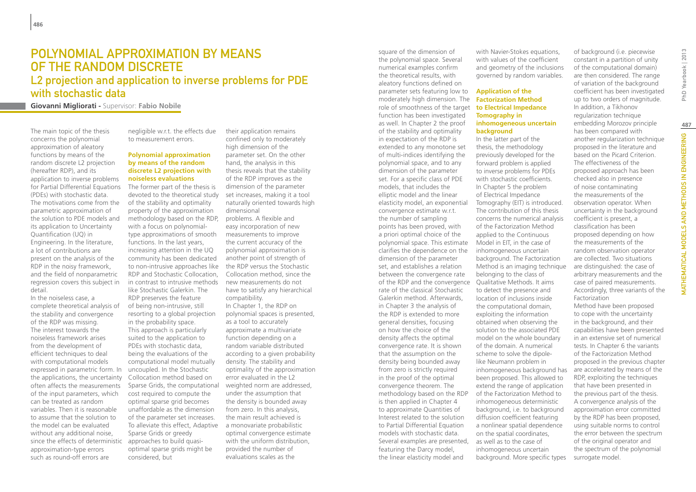## Polynomial approximation by means of the random discrete

### L2 projection and application to inverse problems for PDE with stochastic data

**Giovanni Migliorati -** Supervisor: **Fabio Nobile**

The main topic of the thesis concerns the polynomial approximation of aleatory functions by means of the random discrete L2 projection (hereafter RDP), and its application to inverse problems for Partial Differential Equations (PDEs) with stochastic data. The motivations come from the parametric approximation of the solution to PDE models and its application to Uncertainty Quantification (UQ) in Engineering. In the literature, a lot of contributions are present on the analysis of the RDP in the noisy framework, and the field of nonparametric regression covers this subject in detail.

In the noiseless case, a complete theoretical analysis of the stability and convergence of the RDP was missing. The interest towards the noiseless framework arises from the development of efficient techniques to deal with computational models expressed in parametric form. In the applications, the uncertainty often affects the measurements of the input parameters, which can be treated as random variables. Then it is reasonable to assume that the solution to the model can be evaluated without any additional noise, since the effects of deterministic approximation-type errors such as round-off errors are

negligible w.r.t. the effects due to measurement errors.

### **Polynomial approximation by means of the random discrete L2 projection with noiseless evaluations**

The former part of the thesis is devoted to the theoretical study of the stability and optimality property of the approximation methodology based on the RDP, with a focus on polynomialtype approximations of smooth functions. In the last years, increasing attention in the UQ community has been dedicated to non-intrusive approaches like RDP and Stochastic Collocation, in contrast to intrusive methods like Stochastic Galerkin. The RDP preserves the feature of being non-intrusive, still resorting to a global projection in the probability space. This approach is particularly suited to the application to PDEs with stochastic data, being the evaluations of the computational model mutually uncoupled. In the Stochastic Collocation method based on Sparse Grids, the computational cost required to compute the optimal sparse grid becomes unaffordable as the dimension of the parameter set increases. To alleviate this effect, Adaptive Sparse Grids or greedy approaches to build quasioptimal sparse grids might be considered, but

their application remains confined only to moderately high dimension of the parameter set. On the other hand, the analysis in this thesis reveals that the stability of the RDP improves as the dimension of the parameter set increases, making it a tool naturally oriented towards high dimensional

problems. A flexible and easy incorporation of new measurements to improve the current accuracy of the polynomial approximation is another point of strength of the RDP versus the Stochastic Collocation method, since the new measurements do not have to satisfy any hierarchical compatibility.

In Chapter 1, the RDP on polynomial spaces is presented, as a tool to accurately approximate a multivariate function depending on a random variable distributed according to a given probability density. The stability and optimality of the approximation error evaluated in the L2 weighted norm are addressed, under the assumption that the density is bounded away from zero. In this analysis, the main result achieved is a monovariate probabilistic optimal convergence estimate with the uniform distribution, provided the number of evaluations scales as the

role of smoothness of the target **to Electrical Impedance** Several examples are presented, as well as to the case of the polynomial space. Several numerical examples confirm the theoretical results, with aleatory functions defined on parameter sets featuring low to moderately high dimension. The function has been investigated as well. In Chapter 2 the proof of the stability and optimality in expectation of the RDP is extended to any monotone set of multi-indices identifying the polynomial space, and to any dimension of the parameter set. For a specific class of PDE models, that includes the elliptic model and the linear elasticity model, an exponential convergence estimate w.r.t. the number of sampling points has been proved, with a priori optimal choice of the polynomial space. This estimate clarifies the dependence on the dimension of the parameter set, and establishes a relation between the convergence rate of the RDP and the convergence rate of the classical Stochastic Galerkin method. Afterwards, in Chapter 3 the analysis of the RDP is extended to more general densities, focusing on how the choice of the density affects the optimal convergence rate. It is shown that the assumption on the density being bounded away from zero is strictly required in the proof of the optimal convergence theorem. The methodology based on the RDP is then applied in Chapter 4 to approximate Quantities of Interest related to the solution to Partial Differential Equation models with stochastic data. featuring the Darcy model, the linear elasticity model and

square of the dimension of

with Navier-Stokes equations, with values of the coefficient and geometry of the inclusions governed by random variables.

### **Application of the Factorization Method Tomography in inhomogeneous uncertain background**

In the latter part of the thesis, the methodology previously developed for the forward problem is applied to inverse problems for PDEs with stochastic coefficients. In Chapter 5 the problem of Electrical Impedance Tomography (EIT) is introduced. The contribution of this thesis concerns the numerical analysis of the Factorization Method applied to the Continuous Model in EIT, in the case of inhomogeneous uncertain background. The Factorization Method is an imaging technique belonging to the class of Qualitative Methods. It aims to detect the presence and location of inclusions inside the computational domain, exploiting the information obtained when observing the solution to the associated PDE model on the whole boundary of the domain. A numerical scheme to solve the dipolelike Neumann problem in inhomogeneous background has been proposed. This allowed to extend the range of application of the Factorization Method to inhomogeneous deterministic background, i.e. to background diffusion coefficient featuring a nonlinear spatial dependence on the spatial coordinates, inhomogeneous uncertain background. More specific types

of background (i.e. piecewise constant in a partition of unity of the computational domain) are then considered. The range of variation of the background coefficient has been investigated up to two orders of magnitude. In addition, a Tikhonov regularization technique embedding Morozov principle has been compared with another regularization technique proposed in the literature and based on the Picard Criterion. The effectiveness of the proposed approach has been checked also in presence of noise contaminating the measurements of the observation operator. When uncertainty in the background coefficient is present, a classification has been proposed depending on how the measurements of the random observation operator are collected. Two situations are distinguished: the case of arbitrary measurements and the case of paired measurements. Accordingly, three variants of the Factorization

Method have been proposed to cope with the uncertainty in the background, and their capabilities have been presented in an extensive set of numerical tests. In Chapter 6 the variants of the Factorization Method proposed in the previous chapter are accelerated by means of the RDP, exploiting the techniques that have been presented in the previous part of the thesis. A convergence analysis of the approximation error committed by the RDP has been proposed, using suitable norms to control the error between the spectrum of the original operator and the spectrum of the polynomial surrogate model.